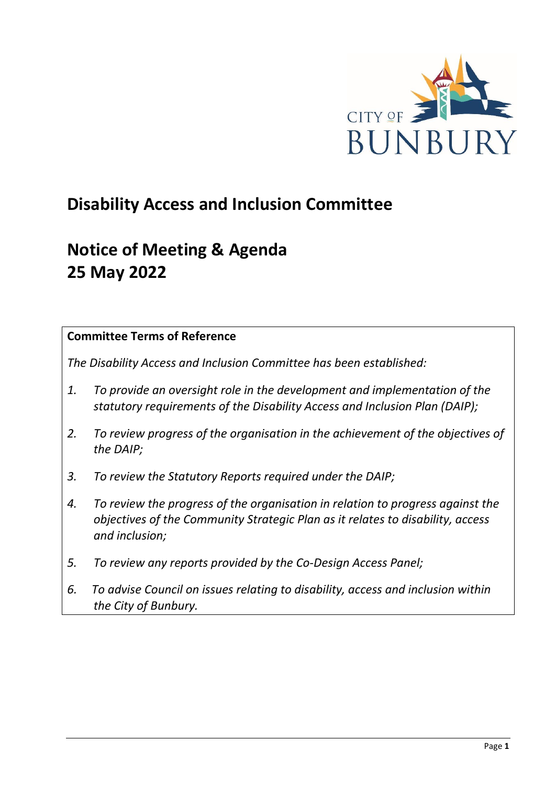

# **Disability Access and Inclusion Committee**

# **Notice of Meeting & Agenda 25 May 2022**

### **Committee Terms of Reference**

*The Disability Access and Inclusion Committee has been established:* 

- *1. To provide an oversight role in the development and implementation of the statutory requirements of the Disability Access and Inclusion Plan (DAIP);*
- *2. To review progress of the organisation in the achievement of the objectives of the DAIP;*
- *3. To review the Statutory Reports required under the DAIP;*
- *4. To review the progress of the organisation in relation to progress against the objectives of the Community Strategic Plan as it relates to disability, access and inclusion;*
- *5. To review any reports provided by the Co-Design Access Panel;*
- *6. To advise Council on issues relating to disability, access and inclusion within the City of Bunbury.*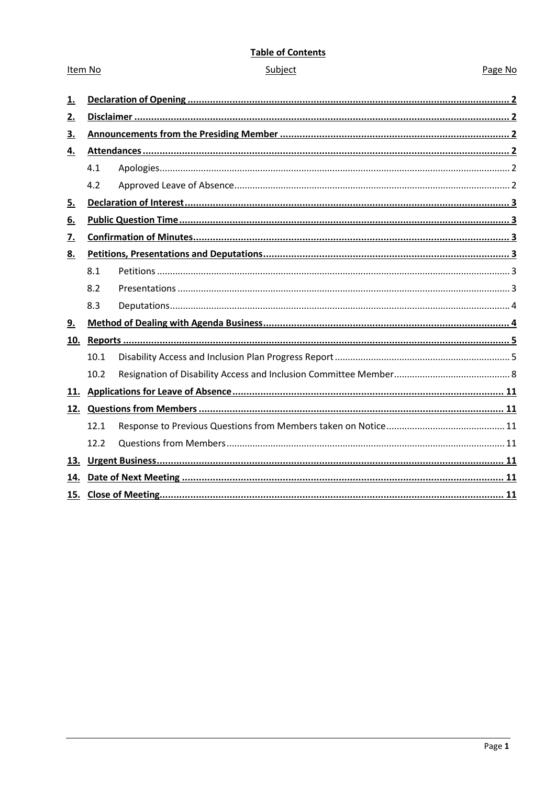#### **Table of Contents**

#### Subject

Item No

#### Page No

| <u>1.</u> |      |  |  |  |
|-----------|------|--|--|--|
| 2.        |      |  |  |  |
| 3.        |      |  |  |  |
| 4.        |      |  |  |  |
|           | 4.1  |  |  |  |
|           | 4.2  |  |  |  |
| <u>5.</u> |      |  |  |  |
| <u>6.</u> |      |  |  |  |
| 7.        |      |  |  |  |
| <u>8.</u> |      |  |  |  |
|           | 8.1  |  |  |  |
|           | 8.2  |  |  |  |
|           | 8.3  |  |  |  |
| 9.        |      |  |  |  |
| 10.       |      |  |  |  |
|           | 10.1 |  |  |  |
|           | 10.2 |  |  |  |
| 11.       |      |  |  |  |
|           |      |  |  |  |
|           | 12.1 |  |  |  |
|           | 12.2 |  |  |  |
| 13.       |      |  |  |  |
| 14.       |      |  |  |  |
| 15.       |      |  |  |  |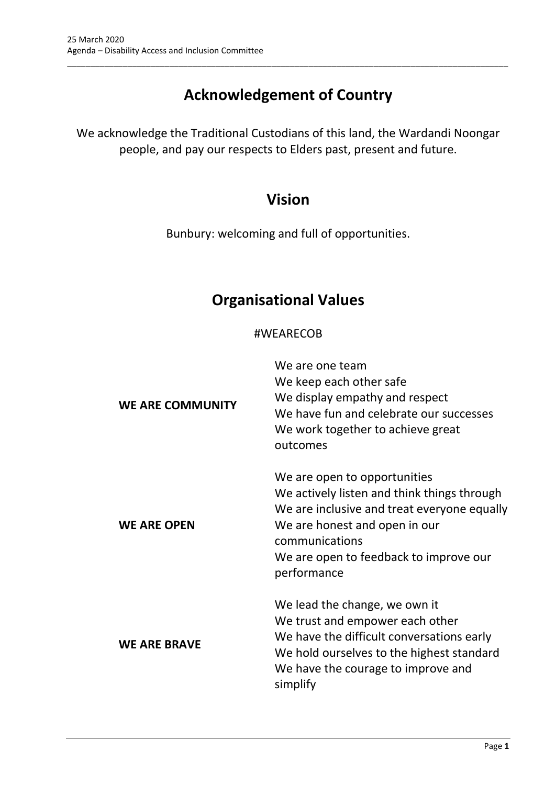# **Acknowledgement of Country**

\_\_\_\_\_\_\_\_\_\_\_\_\_\_\_\_\_\_\_\_\_\_\_\_\_\_\_\_\_\_\_\_\_\_\_\_\_\_\_\_\_\_\_\_\_\_\_\_\_\_\_\_\_\_\_\_\_\_\_\_\_\_\_\_\_\_\_\_\_\_\_\_\_\_\_\_\_\_\_\_\_\_\_\_\_\_\_\_\_\_\_\_\_\_\_

We acknowledge the Traditional Custodians of this land, the Wardandi Noongar people, and pay our respects to Elders past, present and future.

# **Vision**

Bunbury: welcoming and full of opportunities.

# **Organisational Values**

## #WEARECOB

| <b>WE ARE COMMUNITY</b> | We are one team<br>We keep each other safe<br>We display empathy and respect<br>We have fun and celebrate our successes<br>We work together to achieve great<br>outcomes                                                               |
|-------------------------|----------------------------------------------------------------------------------------------------------------------------------------------------------------------------------------------------------------------------------------|
| <b>WE ARE OPEN</b>      | We are open to opportunities<br>We actively listen and think things through<br>We are inclusive and treat everyone equally<br>We are honest and open in our<br>communications<br>We are open to feedback to improve our<br>performance |
| <b>WE ARE BRAVE</b>     | We lead the change, we own it<br>We trust and empower each other<br>We have the difficult conversations early<br>We hold ourselves to the highest standard<br>We have the courage to improve and<br>simplify                           |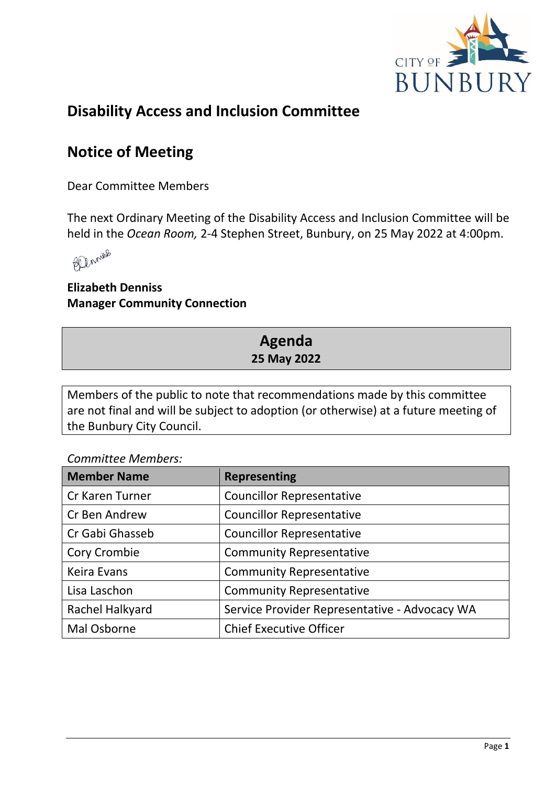

# **Disability Access and Inclusion Committee**

# **Notice of Meeting**

Dear Committee Members

The next Ordinary Meeting of the Disability Access and Inclusion Committee will be held in the *Ocean Room,* 2-4 Stephen Street, Bunbury, on 25 May 2022 at 4:00pm.



**Elizabeth Denniss Manager Community Connection**

# **Agenda 25 May 2022**

Members of the public to note that recommendations made by this committee are not final and will be subject to adoption (or otherwise) at a future meeting of the Bunbury City Council.

*Committee Members:*

| <b>Member Name</b> | <b>Representing</b>                           |
|--------------------|-----------------------------------------------|
| Cr Karen Turner    | <b>Councillor Representative</b>              |
| Cr Ben Andrew      | <b>Councillor Representative</b>              |
| Cr Gabi Ghasseb    | <b>Councillor Representative</b>              |
| Cory Crombie       | <b>Community Representative</b>               |
| Keira Evans        | <b>Community Representative</b>               |
| Lisa Laschon       | <b>Community Representative</b>               |
| Rachel Halkyard    | Service Provider Representative - Advocacy WA |
| Mal Osborne        | <b>Chief Executive Officer</b>                |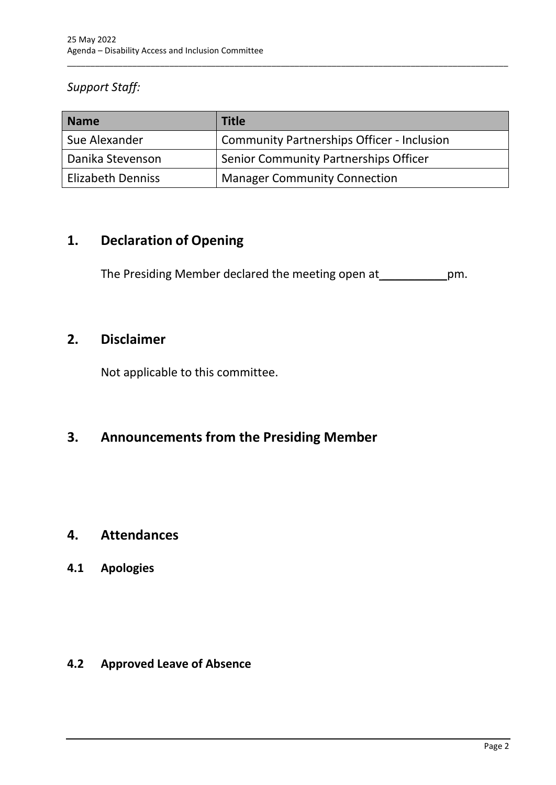## *Support Staff:*

| <b>Name</b>              | <b>Title</b>                                      |
|--------------------------|---------------------------------------------------|
| Sue Alexander            | <b>Community Partnerships Officer - Inclusion</b> |
| Danika Stevenson         | Senior Community Partnerships Officer             |
| <b>Elizabeth Denniss</b> | <b>Manager Community Connection</b>               |

\_\_\_\_\_\_\_\_\_\_\_\_\_\_\_\_\_\_\_\_\_\_\_\_\_\_\_\_\_\_\_\_\_\_\_\_\_\_\_\_\_\_\_\_\_\_\_\_\_\_\_\_\_\_\_\_\_\_\_\_\_\_\_\_\_\_\_\_\_\_\_\_\_\_\_\_\_\_\_\_\_\_\_\_\_\_\_\_\_\_\_\_\_\_\_

## <span id="page-4-0"></span>**1. Declaration of Opening**

The Presiding Member declared the meeting open at \_\_\_\_\_\_\_\_\_\_\_\_\_\_pm.

## <span id="page-4-1"></span>**2. Disclaimer**

Not applicable to this committee.

# <span id="page-4-2"></span>**3. Announcements from the Presiding Member**

## <span id="page-4-3"></span>**4. Attendances**

## <span id="page-4-4"></span>**4.1 Apologies**

## <span id="page-4-5"></span>**4.2 Approved Leave of Absence**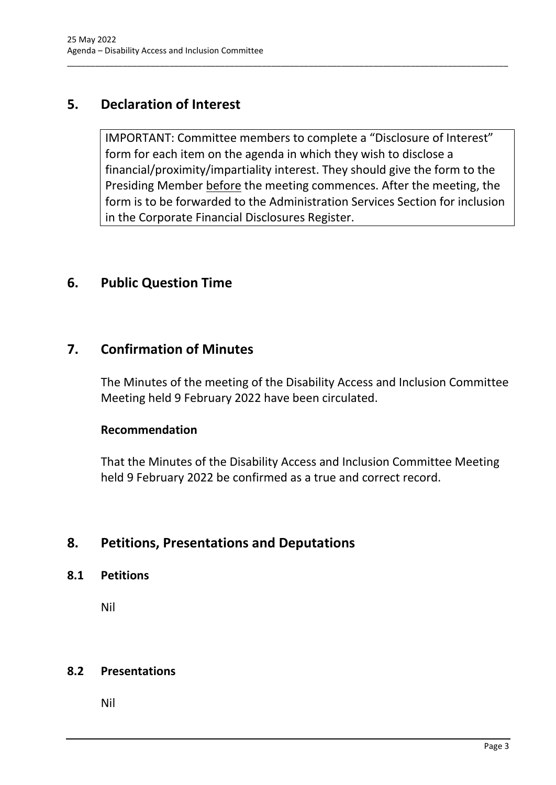## <span id="page-5-0"></span>**5. Declaration of Interest**

IMPORTANT: Committee members to complete a "Disclosure of Interest" form for each item on the agenda in which they wish to disclose a financial/proximity/impartiality interest. They should give the form to the Presiding Member before the meeting commences. After the meeting, the form is to be forwarded to the Administration Services Section for inclusion in the Corporate Financial Disclosures Register.

\_\_\_\_\_\_\_\_\_\_\_\_\_\_\_\_\_\_\_\_\_\_\_\_\_\_\_\_\_\_\_\_\_\_\_\_\_\_\_\_\_\_\_\_\_\_\_\_\_\_\_\_\_\_\_\_\_\_\_\_\_\_\_\_\_\_\_\_\_\_\_\_\_\_\_\_\_\_\_\_\_\_\_\_\_\_\_\_\_\_\_\_\_\_\_

## <span id="page-5-1"></span>**6. Public Question Time**

## <span id="page-5-2"></span>**7. Confirmation of Minutes**

The Minutes of the meeting of the Disability Access and Inclusion Committee Meeting held 9 February 2022 have been circulated.

#### **Recommendation**

That the Minutes of the Disability Access and Inclusion Committee Meeting held 9 February 2022 be confirmed as a true and correct record.

## <span id="page-5-3"></span>**8. Petitions, Presentations and Deputations**

#### <span id="page-5-4"></span>**8.1 Petitions**

Nil

### <span id="page-5-5"></span>**8.2 Presentations**

Nil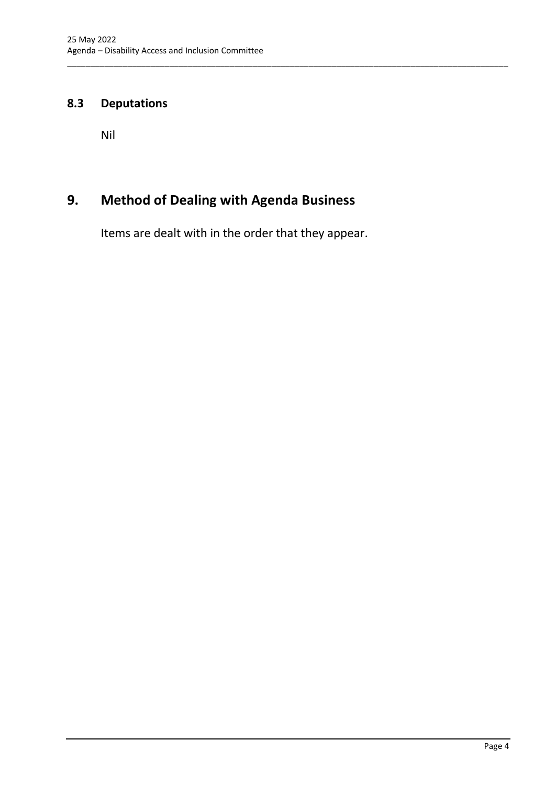## <span id="page-6-0"></span>**8.3 Deputations**

Nil

# <span id="page-6-1"></span>**9. Method of Dealing with Agenda Business**

Items are dealt with in the order that they appear.

\_\_\_\_\_\_\_\_\_\_\_\_\_\_\_\_\_\_\_\_\_\_\_\_\_\_\_\_\_\_\_\_\_\_\_\_\_\_\_\_\_\_\_\_\_\_\_\_\_\_\_\_\_\_\_\_\_\_\_\_\_\_\_\_\_\_\_\_\_\_\_\_\_\_\_\_\_\_\_\_\_\_\_\_\_\_\_\_\_\_\_\_\_\_\_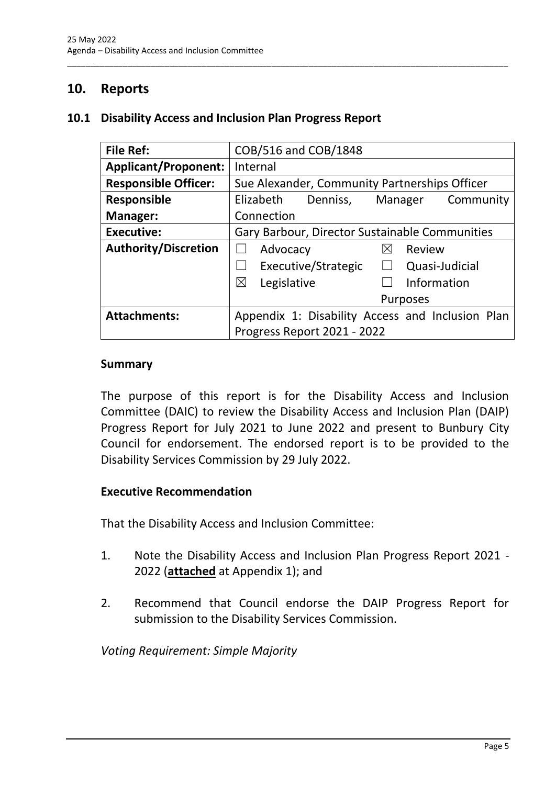## <span id="page-7-0"></span>**10. Reports**

#### <span id="page-7-1"></span>**10.1 Disability Access and Inclusion Plan Progress Report**

| <b>File Ref:</b>            | COB/516 and COB/1848                             |
|-----------------------------|--------------------------------------------------|
| <b>Applicant/Proponent:</b> | Internal                                         |
| <b>Responsible Officer:</b> | Sue Alexander, Community Partnerships Officer    |
| <b>Responsible</b>          | Elizabeth<br>Manager<br>Denniss,<br>Community    |
| <b>Manager:</b>             | Connection                                       |
| <b>Executive:</b>           | Gary Barbour, Director Sustainable Communities   |
| <b>Authority/Discretion</b> | Advocacy<br>Review<br>$\boxtimes$                |
|                             | Executive/Strategic<br>Quasi-Judicial<br>$\Box$  |
|                             | Information<br>$\boxtimes$<br>Legislative        |
|                             | <b>Purposes</b>                                  |
| <b>Attachments:</b>         | Appendix 1: Disability Access and Inclusion Plan |
|                             | Progress Report 2021 - 2022                      |

\_\_\_\_\_\_\_\_\_\_\_\_\_\_\_\_\_\_\_\_\_\_\_\_\_\_\_\_\_\_\_\_\_\_\_\_\_\_\_\_\_\_\_\_\_\_\_\_\_\_\_\_\_\_\_\_\_\_\_\_\_\_\_\_\_\_\_\_\_\_\_\_\_\_\_\_\_\_\_\_\_\_\_\_\_\_\_\_\_\_\_\_\_\_\_

#### **Summary**

The purpose of this report is for the Disability Access and Inclusion Committee (DAIC) to review the Disability Access and Inclusion Plan (DAIP) Progress Report for July 2021 to June 2022 and present to Bunbury City Council for endorsement. The endorsed report is to be provided to the Disability Services Commission by 29 July 2022.

#### **Executive Recommendation**

That the Disability Access and Inclusion Committee:

- 1. Note the Disability Access and Inclusion Plan Progress Report 2021 2022 (**attached** at Appendix 1); and
- 2. Recommend that Council endorse the DAIP Progress Report for submission to the Disability Services Commission.

*Voting Requirement: Simple Majority*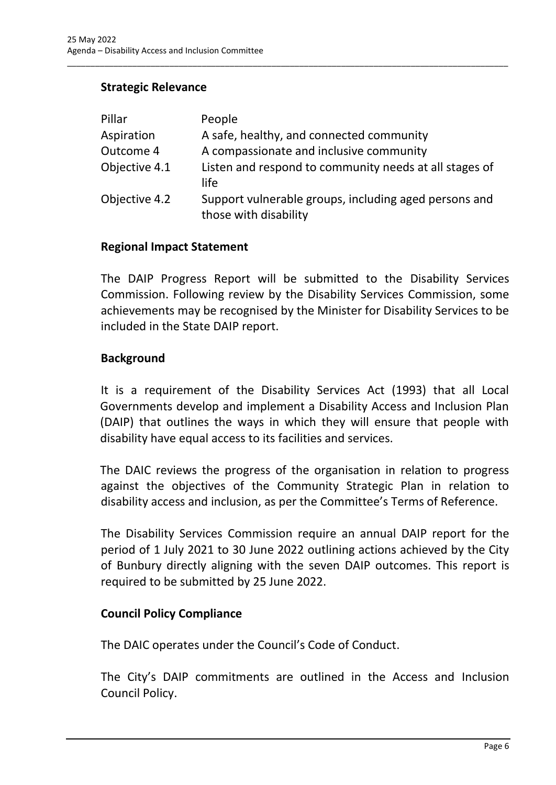## **Strategic Relevance**

| Pillar        | People                                                                         |
|---------------|--------------------------------------------------------------------------------|
| Aspiration    | A safe, healthy, and connected community                                       |
| Outcome 4     | A compassionate and inclusive community                                        |
| Objective 4.1 | Listen and respond to community needs at all stages of<br>life                 |
| Objective 4.2 | Support vulnerable groups, including aged persons and<br>those with disability |

\_\_\_\_\_\_\_\_\_\_\_\_\_\_\_\_\_\_\_\_\_\_\_\_\_\_\_\_\_\_\_\_\_\_\_\_\_\_\_\_\_\_\_\_\_\_\_\_\_\_\_\_\_\_\_\_\_\_\_\_\_\_\_\_\_\_\_\_\_\_\_\_\_\_\_\_\_\_\_\_\_\_\_\_\_\_\_\_\_\_\_\_\_\_\_

#### **Regional Impact Statement**

The DAIP Progress Report will be submitted to the Disability Services Commission. Following review by the Disability Services Commission, some achievements may be recognised by the Minister for Disability Services to be included in the State DAIP report.

#### **Background**

It is a requirement of the Disability Services Act (1993) that all Local Governments develop and implement a Disability Access and Inclusion Plan (DAIP) that outlines the ways in which they will ensure that people with disability have equal access to its facilities and services.

The DAIC reviews the progress of the organisation in relation to progress against the objectives of the Community Strategic Plan in relation to disability access and inclusion, as per the Committee's Terms of Reference.

The Disability Services Commission require an annual DAIP report for the period of 1 July 2021 to 30 June 2022 outlining actions achieved by the City of Bunbury directly aligning with the seven DAIP outcomes. This report is required to be submitted by 25 June 2022.

### **Council Policy Compliance**

The DAIC operates under the Council's Code of Conduct.

The City's DAIP commitments are outlined in the Access and Inclusion Council Policy.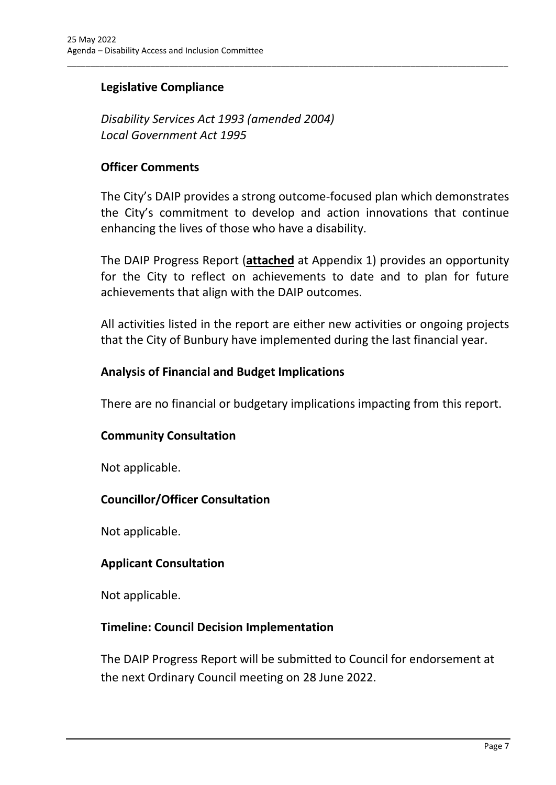## **Legislative Compliance**

*Disability Services Act 1993 (amended 2004) Local Government Act 1995*

#### **Officer Comments**

The City's DAIP provides a strong outcome-focused plan which demonstrates the City's commitment to develop and action innovations that continue enhancing the lives of those who have a disability.

\_\_\_\_\_\_\_\_\_\_\_\_\_\_\_\_\_\_\_\_\_\_\_\_\_\_\_\_\_\_\_\_\_\_\_\_\_\_\_\_\_\_\_\_\_\_\_\_\_\_\_\_\_\_\_\_\_\_\_\_\_\_\_\_\_\_\_\_\_\_\_\_\_\_\_\_\_\_\_\_\_\_\_\_\_\_\_\_\_\_\_\_\_\_\_

The DAIP Progress Report (**attached** at Appendix 1) provides an opportunity for the City to reflect on achievements to date and to plan for future achievements that align with the DAIP outcomes.

All activities listed in the report are either new activities or ongoing projects that the City of Bunbury have implemented during the last financial year.

#### **Analysis of Financial and Budget Implications**

There are no financial or budgetary implications impacting from this report.

#### **Community Consultation**

Not applicable.

#### **Councillor/Officer Consultation**

Not applicable.

#### **Applicant Consultation**

Not applicable.

#### **Timeline: Council Decision Implementation**

The DAIP Progress Report will be submitted to Council for endorsement at the next Ordinary Council meeting on 28 June 2022.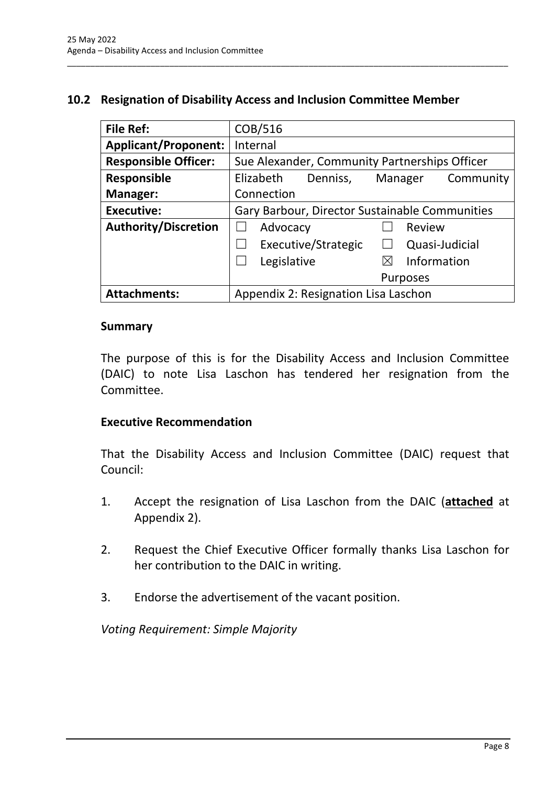## <span id="page-10-0"></span>**10.2 Resignation of Disability Access and Inclusion Committee Member**

\_\_\_\_\_\_\_\_\_\_\_\_\_\_\_\_\_\_\_\_\_\_\_\_\_\_\_\_\_\_\_\_\_\_\_\_\_\_\_\_\_\_\_\_\_\_\_\_\_\_\_\_\_\_\_\_\_\_\_\_\_\_\_\_\_\_\_\_\_\_\_\_\_\_\_\_\_\_\_\_\_\_\_\_\_\_\_\_\_\_\_\_\_\_\_

| <b>File Ref:</b>            | COB/516                                        |
|-----------------------------|------------------------------------------------|
| <b>Applicant/Proponent:</b> | Internal                                       |
| <b>Responsible Officer:</b> | Sue Alexander, Community Partnerships Officer  |
| <b>Responsible</b>          | Elizabeth<br>Community<br>Denniss,<br>Manager  |
| Manager:                    | Connection                                     |
| <b>Executive:</b>           | Gary Barbour, Director Sustainable Communities |
| <b>Authority/Discretion</b> | Advocacy<br>Review                             |
|                             | Executive/Strategic<br>Quasi-Judicial          |
|                             | Information<br>Legislative<br>$\bowtie$        |
|                             | <b>Purposes</b>                                |
| <b>Attachments:</b>         | Appendix 2: Resignation Lisa Laschon           |

#### **Summary**

The purpose of this is for the Disability Access and Inclusion Committee (DAIC) to note Lisa Laschon has tendered her resignation from the Committee.

### **Executive Recommendation**

That the Disability Access and Inclusion Committee (DAIC) request that Council:

- 1. Accept the resignation of Lisa Laschon from the DAIC (**attached** at Appendix 2).
- 2. Request the Chief Executive Officer formally thanks Lisa Laschon for her contribution to the DAIC in writing.
- 3. Endorse the advertisement of the vacant position.

*Voting Requirement: Simple Majority*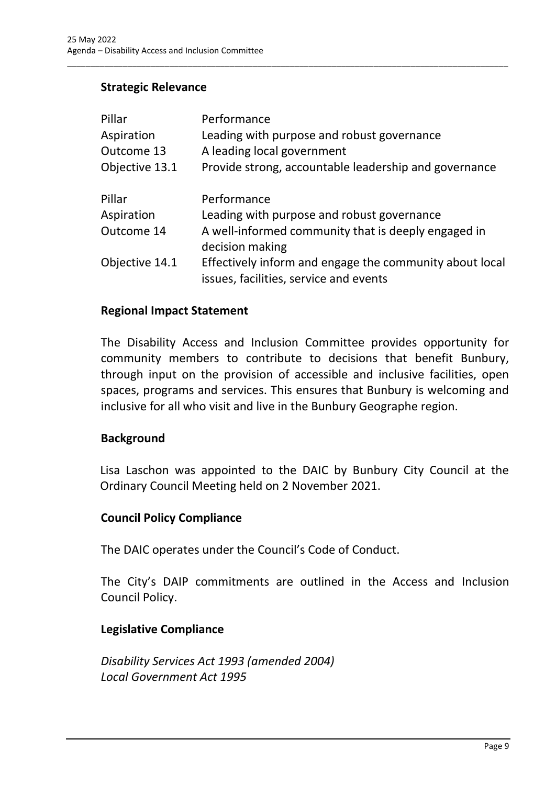### **Strategic Relevance**

| Pillar         | Performance                                                                                       |
|----------------|---------------------------------------------------------------------------------------------------|
| Aspiration     | Leading with purpose and robust governance                                                        |
| Outcome 13     | A leading local government                                                                        |
| Objective 13.1 | Provide strong, accountable leadership and governance                                             |
| Pillar         | Performance                                                                                       |
| Aspiration     | Leading with purpose and robust governance                                                        |
| Outcome 14     | A well-informed community that is deeply engaged in<br>decision making                            |
| Objective 14.1 | Effectively inform and engage the community about local<br>issues, facilities, service and events |

\_\_\_\_\_\_\_\_\_\_\_\_\_\_\_\_\_\_\_\_\_\_\_\_\_\_\_\_\_\_\_\_\_\_\_\_\_\_\_\_\_\_\_\_\_\_\_\_\_\_\_\_\_\_\_\_\_\_\_\_\_\_\_\_\_\_\_\_\_\_\_\_\_\_\_\_\_\_\_\_\_\_\_\_\_\_\_\_\_\_\_\_\_\_\_

#### **Regional Impact Statement**

The Disability Access and Inclusion Committee provides opportunity for community members to contribute to decisions that benefit Bunbury, through input on the provision of accessible and inclusive facilities, open spaces, programs and services. This ensures that Bunbury is welcoming and inclusive for all who visit and live in the Bunbury Geographe region.

#### **Background**

Lisa Laschon was appointed to the DAIC by Bunbury City Council at the Ordinary Council Meeting held on 2 November 2021.

#### **Council Policy Compliance**

The DAIC operates under the Council's Code of Conduct.

The City's DAIP commitments are outlined in the Access and Inclusion Council Policy.

#### **Legislative Compliance**

*Disability Services Act 1993 (amended 2004) Local Government Act 1995*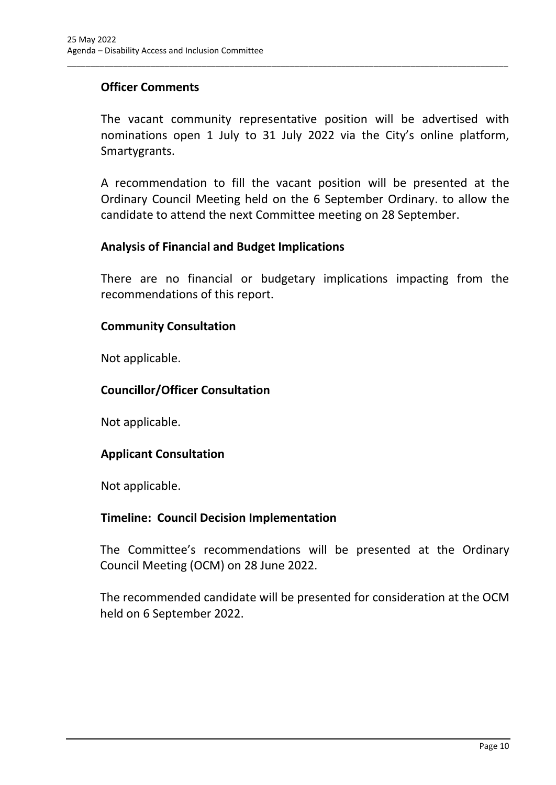## **Officer Comments**

The vacant community representative position will be advertised with nominations open 1 July to 31 July 2022 via the City's online platform, Smartygrants.

\_\_\_\_\_\_\_\_\_\_\_\_\_\_\_\_\_\_\_\_\_\_\_\_\_\_\_\_\_\_\_\_\_\_\_\_\_\_\_\_\_\_\_\_\_\_\_\_\_\_\_\_\_\_\_\_\_\_\_\_\_\_\_\_\_\_\_\_\_\_\_\_\_\_\_\_\_\_\_\_\_\_\_\_\_\_\_\_\_\_\_\_\_\_\_

A recommendation to fill the vacant position will be presented at the Ordinary Council Meeting held on the 6 September Ordinary. to allow the candidate to attend the next Committee meeting on 28 September.

#### **Analysis of Financial and Budget Implications**

There are no financial or budgetary implications impacting from the recommendations of this report.

#### **Community Consultation**

Not applicable.

### **Councillor/Officer Consultation**

Not applicable.

### **Applicant Consultation**

Not applicable.

#### **Timeline: Council Decision Implementation**

The Committee's recommendations will be presented at the Ordinary Council Meeting (OCM) on 28 June 2022.

The recommended candidate will be presented for consideration at the OCM held on 6 September 2022.